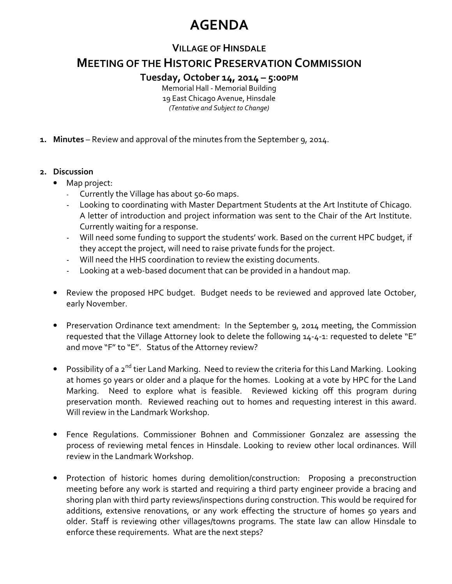# **AGENDA**

### **VILLAGE OF HINSDALE**

## **MEETING OF THE HISTORIC PRESERVATION COMMISSION**

#### **Tuesday, October 14, 2014 – 5:00PM**

Memorial Hall - Memorial Building 19 East Chicago Avenue, Hinsdale *(Tentative and Subject to Change)* 

**1. Minutes** – Review and approval of the minutes from the September 9, 2014.

#### **2. Discussion**

- Map project:
	- Currently the Village has about 50-60 maps.
	- Looking to coordinating with Master Department Students at the Art Institute of Chicago. A letter of introduction and project information was sent to the Chair of the Art Institute. Currently waiting for a response.
	- Will need some funding to support the students' work. Based on the current HPC budget, if they accept the project, will need to raise private funds for the project.
	- Will need the HHS coordination to review the existing documents.
	- Looking at a web-based document that can be provided in a handout map.
- Review the proposed HPC budget. Budget needs to be reviewed and approved late October, early November.
- Preservation Ordinance text amendment: In the September 9, 2014 meeting, the Commission requested that the Village Attorney look to delete the following 14-4-1: requested to delete "E" and move "F" to "E". Status of the Attorney review?
- Possibility of a 2<sup>nd</sup> tier Land Marking. Need to review the criteria for this Land Marking. Looking at homes 50 years or older and a plaque for the homes. Looking at a vote by HPC for the Land Marking. Need to explore what is feasible. Reviewed kicking off this program during preservation month. Reviewed reaching out to homes and requesting interest in this award. Will review in the Landmark Workshop.
- Fence Regulations. Commissioner Bohnen and Commissioner Gonzalez are assessing the process of reviewing metal fences in Hinsdale. Looking to review other local ordinances. Will review in the Landmark Workshop.
- Protection of historic homes during demolition/construction: Proposing a preconstruction meeting before any work is started and requiring a third party engineer provide a bracing and shoring plan with third party reviews/inspections during construction. This would be required for additions, extensive renovations, or any work effecting the structure of homes 50 years and older. Staff is reviewing other villages/towns programs. The state law can allow Hinsdale to enforce these requirements. What are the next steps?